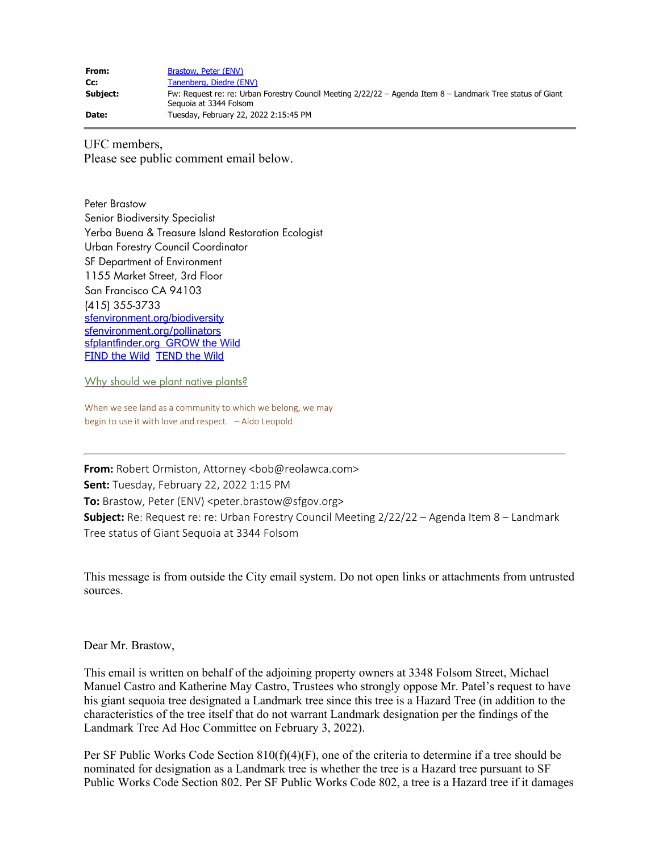| From:    | Brastow, Peter (ENV)                                                                                                                 |
|----------|--------------------------------------------------------------------------------------------------------------------------------------|
| Cc:      | Tanenberg, Diedre (ENV)                                                                                                              |
| Subject: | Fw: Request re: re: Urban Forestry Council Meeting 2/22/22 - Agenda Item 8 - Landmark Tree status of Giant<br>Seguoia at 3344 Folsom |
| Date:    | Tuesday, February 22, 2022 2:15:45 PM                                                                                                |

UFC members, Please see public comment email below.

Peter Brastow Senior Biodiversity Specialist Yerba Buena & Treasure Island Restoration Ecologist Urban Forestry Council Coordinator SF Department of Environment 1155 Market Street, 3rd Floor San Francisco CA 94103 (415) 355-3733 [sfenvironment.org/biodiversity](http://www.sfenvironment.org/biodiversity) [sfenvironment.org/pollinators](http://www.sfenvironment.org/pollinators) [sfplantfinder.org](http://www.sfplantfinder.org/) **GROW** the Wild [FIND the Wild](http://sfenvironment.org/solution/visit-birds-butterflies-and-plants) [TEND the Wild](http://sfenvironment.org/solution/volunteer-to-restore-habitat-and-increase-biodiversity)

[Why should we plant native plants?](https://www.youtube.com/watch?v=yo4ZJ-ryTaE&feature=youtu.be)

When we see land as a community to which we belong, we may begin to use it with love and respect. – Aldo Leopold

**From:** Robert Ormiston, Attorney <bob@reolawca.com> **Sent:** Tuesday, February 22, 2022 1:15 PM **To:** Brastow, Peter (ENV) <peter.brastow@sfgov.org> **Subject:** Re: Request re: re: Urban Forestry Council Meeting 2/22/22 – Agenda Item 8 – Landmark Tree status of Giant Sequoia at 3344 Folsom

This message is from outside the City email system. Do not open links or attachments from untrusted sources.

Dear Mr. Brastow,

This email is written on behalf of the adjoining property owners at 3348 Folsom Street, Michael Manuel Castro and Katherine May Castro, Trustees who strongly oppose Mr. Patel's request to have his giant sequoia tree designated a Landmark tree since this tree is a Hazard Tree (in addition to the characteristics of the tree itself that do not warrant Landmark designation per the findings of the Landmark Tree Ad Hoc Committee on February 3, 2022).

Per SF Public Works Code Section  $810(f)(4)(F)$ , one of the criteria to determine if a tree should be nominated for designation as a Landmark tree is whether the tree is a Hazard tree pursuant to SF Public Works Code Section 802. Per SF Public Works Code 802, a tree is a Hazard tree if it damages